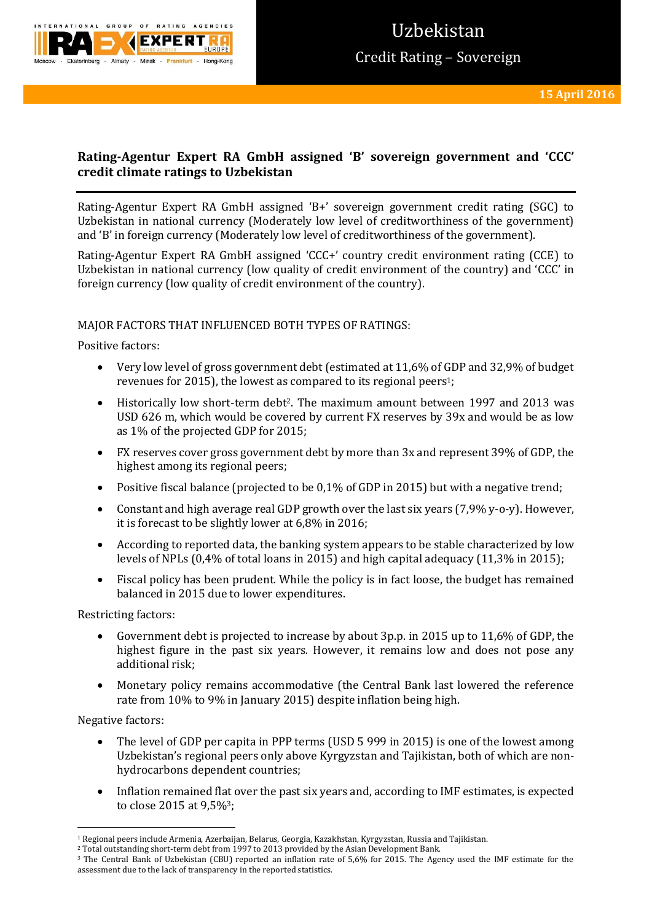

# **Rating-Agentur Expert RA GmbH assigned 'B' sovereign government and 'CCC' credit climate ratings to Uzbekistan**

Rating-Agentur Expert RA GmbH assigned 'B+' sovereign government credit rating (SGC) to Uzbekistan in national currency (Moderately low level of creditworthiness of the government) and 'B' in foreign currency (Moderately low level of creditworthiness of the government).

Rating-Agentur Expert RA GmbH assigned 'CCC+' country credit environment rating (CCE) to Uzbekistan in national currency (low quality of credit environment of the country) and 'CCC' in foreign currency (low quality of credit environment of the country).

### MAJOR FACTORS THAT INFLUENCED BOTH TYPES OF RATINGS:

Positive factors:

- Very low level of gross government debt (estimated at 11,6% of GDP and 32,9% of budget revenues for 2015), the lowest as compared to its regional peers1;
- Historically low short-term debt2. The maximum amount between 1997 and 2013 was USD 626 m, which would be covered by current FX reserves by 39x and would be as low as 1% of the projected GDP for 2015;
- FX reserves cover gross government debt by more than 3x and represent 39% of GDP, the highest among its regional peers;
- Positive fiscal balance (projected to be 0,1% of GDP in 2015) but with a negative trend;
- Constant and high average real GDP growth over the last six years (7,9% y-o-y). However, it is forecast to be slightly lower at 6,8% in 2016;
- According to reported data, the banking system appears to be stable characterized by low levels of NPLs (0,4% of total loans in 2015) and high capital adequacy (11,3% in 2015);
- Fiscal policy has been prudent. While the policy is in fact loose, the budget has remained balanced in 2015 due to lower expenditures.

Restricting factors:

- Government debt is projected to increase by about 3p.p. in 2015 up to 11,6% of GDP, the highest figure in the past six years. However, it remains low and does not pose any additional risk;
- Monetary policy remains accommodative (the Central Bank last lowered the reference rate from 10% to 9% in January 2015) despite inflation being high.

Negative factors:

- The level of GDP per capita in PPP terms (USD 5 999 in 2015) is one of the lowest among Uzbekistan's regional peers only above Kyrgyzstan and Tajikistan, both of which are nonhydrocarbons dependent countries;
- Inflation remained flat over the past six years and, according to IMF estimates, is expected to close 2015 at 9,5%3;

**<sup>.</sup>** <sup>1</sup> Regional peers include Armenia, Azerbaijan, Belarus, Georgia, Kazakhstan, Kyrgyzstan, Russia and Tajikistan.

<sup>2</sup> Total outstanding short-term debt from 1997 to 2013 provided by the Asian Development Bank.

<sup>3</sup> The Central Bank of Uzbekistan (CBU) reported an inflation rate of 5,6% for 2015. The Agency used the IMF estimate for the assessment due to the lack of transparency in the reported statistics.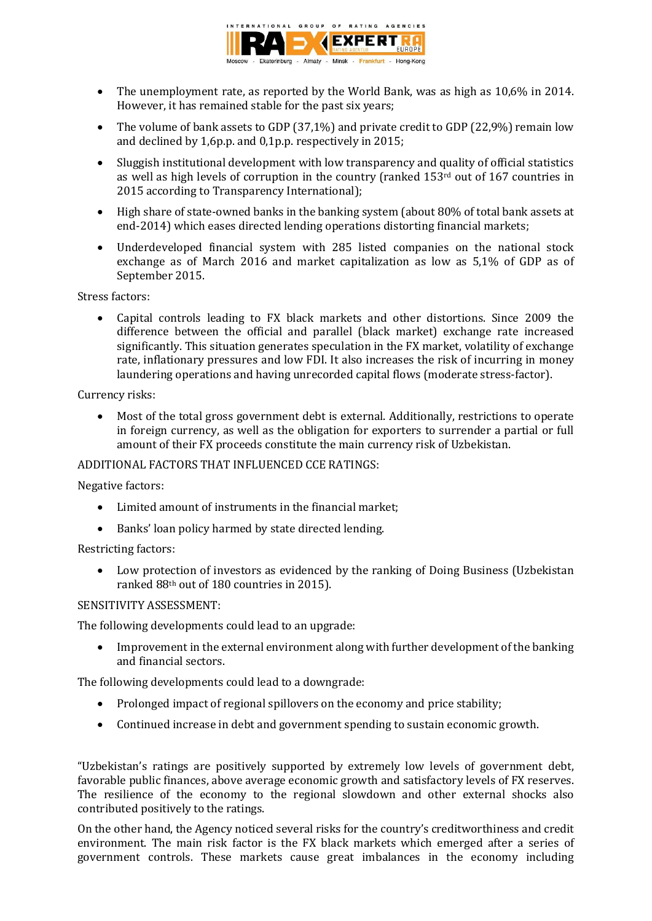

- The unemployment rate, as reported by the World Bank, was as high as 10,6% in 2014. However, it has remained stable for the past six years;
- The volume of bank assets to GDP (37,1%) and private credit to GDP (22,9%) remain low and declined by 1,6p.p. and 0,1p.p. respectively in 2015;
- Sluggish institutional development with low transparency and quality of official statistics as well as high levels of corruption in the country (ranked 153<sup>rd</sup> out of 167 countries in 2015 according to Transparency International);
- High share of state-owned banks in the banking system (about 80% of total bank assets at end-2014) which eases directed lending operations distorting financial markets;
- Underdeveloped financial system with 285 listed companies on the national stock exchange as of March 2016 and market capitalization as low as 5,1% of GDP as of September 2015.

### Stress factors:

 Capital controls leading to FX black markets and other distortions. Since 2009 the difference between the official and parallel (black market) exchange rate increased significantly. This situation generates speculation in the FX market, volatility of exchange rate, inflationary pressures and low FDI. It also increases the risk of incurring in money laundering operations and having unrecorded capital flows (moderate stress-factor).

Currency risks:

 Most of the total gross government debt is external. Additionally, restrictions to operate in foreign currency, as well as the obligation for exporters to surrender a partial or full amount of their FX proceeds constitute the main currency risk of Uzbekistan.

## ADDITIONAL FACTORS THAT INFLUENCED CCE RATINGS:

Negative factors:

- Limited amount of instruments in the financial market;
- Banks' loan policy harmed by state directed lending.

Restricting factors:

 Low protection of investors as evidenced by the ranking of Doing Business (Uzbekistan ranked 88th out of 180 countries in 2015).

### SENSITIVITY ASSESSMENT:

The following developments could lead to an upgrade:

 Improvement in the external environment along with further development of the banking and financial sectors.

The following developments could lead to a downgrade:

- Prolonged impact of regional spillovers on the economy and price stability;
- Continued increase in debt and government spending to sustain economic growth.

"Uzbekistan's ratings are positively supported by extremely low levels of government debt, favorable public finances, above average economic growth and satisfactory levels of FX reserves. The resilience of the economy to the regional slowdown and other external shocks also contributed positively to the ratings.

On the other hand, the Agency noticed several risks for the country's creditworthiness and credit environment. The main risk factor is the FX black markets which emerged after a series of government controls. These markets cause great imbalances in the economy including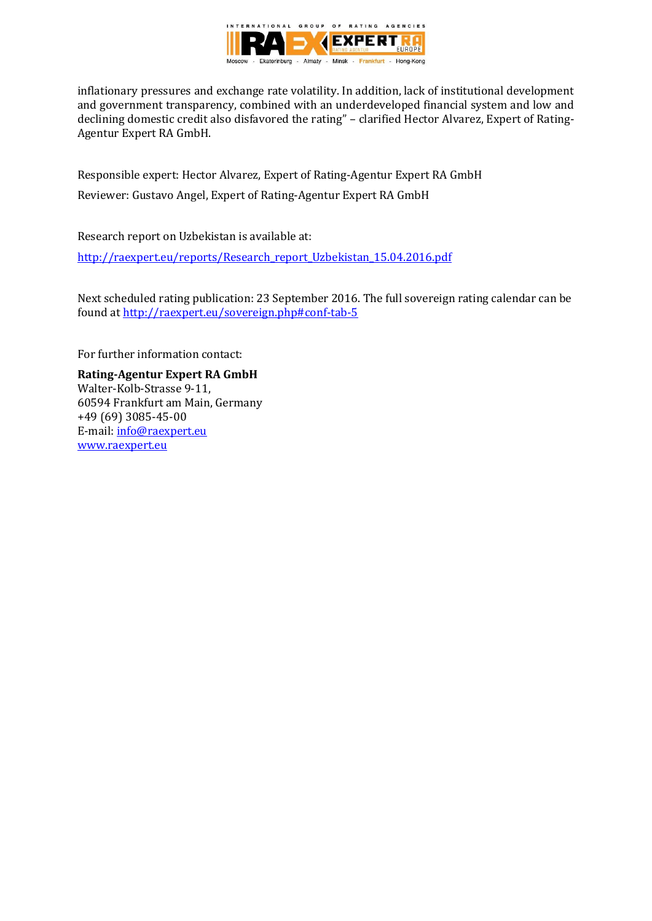

inflationary pressures and exchange rate volatility. In addition, lack of institutional development and government transparency, combined with an underdeveloped financial system and low and declining domestic credit also disfavored the rating" – clarified Hector Alvarez, Expert of Rating-Agentur Expert RA GmbH.

Responsible expert: Hector Alvarez, Expert of Rating-Agentur Expert RA GmbH Reviewer: Gustavo Angel, Expert of Rating-Agentur Expert RA GmbH

Research report on Uzbekistan is available at:

[http://raexpert.eu/reports/Research\\_report\\_Uzbekistan\\_15.04.2016.pdf](http://raexpert.eu/reports/Research_report_Uzbekistan_15.04.2016.pdf)

Next scheduled rating publication: 23 September 2016. The full sovereign rating calendar can be found at<http://raexpert.eu/sovereign.php#conf-tab-5>

For further information contact:

**Rating-Agentur Expert RA GmbH** Walter-Kolb-Strasse 9-11, 60594 Frankfurt am Main, Germany +49 (69) 3085-45-00 E-mail[: info@raexpert.eu](mailto:info@raexpert.eu) [www.raexpert.eu](http://raexpert.eu/)